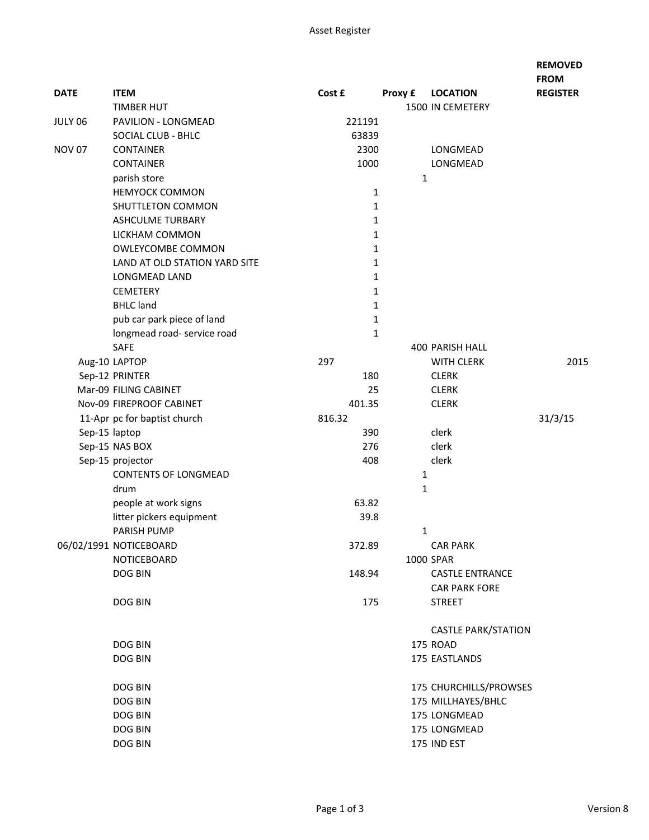|               |                               |              |         |                            | <b>FROM</b>     |
|---------------|-------------------------------|--------------|---------|----------------------------|-----------------|
| <b>DATE</b>   | <b>ITEM</b>                   | Cost £       | Proxy £ | <b>LOCATION</b>            | <b>REGISTER</b> |
|               | <b>TIMBER HUT</b>             |              |         | 1500 IN CEMETERY           |                 |
| JULY 06       | PAVILION - LONGMEAD           | 221191       |         |                            |                 |
|               | SOCIAL CLUB - BHLC            | 63839        |         |                            |                 |
| <b>NOV 07</b> | <b>CONTAINER</b>              | 2300         |         | LONGMEAD                   |                 |
|               | <b>CONTAINER</b>              | 1000         |         | LONGMEAD                   |                 |
|               | parish store                  |              |         | 1                          |                 |
|               | <b>HEMYOCK COMMON</b>         | $\mathbf{1}$ |         |                            |                 |
|               | SHUTTLETON COMMON             | $\mathbf{1}$ |         |                            |                 |
|               | <b>ASHCULME TURBARY</b>       | $\mathbf{1}$ |         |                            |                 |
|               | LICKHAM COMMON                | $\mathbf{1}$ |         |                            |                 |
|               | <b>OWLEYCOMBE COMMON</b>      | $\mathbf{1}$ |         |                            |                 |
|               | LAND AT OLD STATION YARD SITE | $\mathbf 1$  |         |                            |                 |
|               | LONGMEAD LAND                 | $\mathbf{1}$ |         |                            |                 |
|               | <b>CEMETERY</b>               | $\mathbf{1}$ |         |                            |                 |
|               | <b>BHLC</b> land              | 1            |         |                            |                 |
|               | pub car park piece of land    | 1            |         |                            |                 |
|               | longmead road- service road   | 1            |         |                            |                 |
|               | SAFE                          |              |         | <b>400 PARISH HALL</b>     |                 |
|               | Aug-10 LAPTOP                 | 297          |         | <b>WITH CLERK</b>          | 2015            |
|               | Sep-12 PRINTER                | 180          |         | <b>CLERK</b>               |                 |
|               | Mar-09 FILING CABINET         | 25           |         | <b>CLERK</b>               |                 |
|               | Nov-09 FIREPROOF CABINET      | 401.35       |         | <b>CLERK</b>               |                 |
|               | 11-Apr pc for baptist church  | 816.32       |         |                            | 31/3/15         |
| Sep-15 laptop |                               | 390          |         | clerk                      |                 |
|               | Sep-15 NAS BOX                | 276          |         | clerk                      |                 |
|               | Sep-15 projector              | 408          |         | clerk                      |                 |
|               | <b>CONTENTS OF LONGMEAD</b>   |              |         | 1                          |                 |
|               | drum                          |              |         | 1                          |                 |
|               | people at work signs          | 63.82        |         |                            |                 |
|               | litter pickers equipment      | 39.8         |         |                            |                 |
|               | PARISH PUMP                   |              |         | 1                          |                 |
|               | 06/02/1991 NOTICEBOARD        | 372.89       |         | CAR PARK                   |                 |
|               | NOTICEBOARD                   |              |         | 1000 SPAR                  |                 |
|               | DOG BIN                       | 148.94       |         | <b>CASTLE ENTRANCE</b>     |                 |
|               |                               |              |         | <b>CAR PARK FORE</b>       |                 |
|               | DOG BIN                       | 175          |         | <b>STREET</b>              |                 |
|               |                               |              |         | <b>CASTLE PARK/STATION</b> |                 |
|               | DOG BIN                       |              |         | 175 ROAD                   |                 |
|               | DOG BIN                       |              |         | 175 EASTLANDS              |                 |
|               | DOG BIN                       |              |         |                            |                 |
|               |                               |              |         | 175 CHURCHILLS/PROWSES     |                 |
|               | DOG BIN                       |              |         | 175 MILLHAYES/BHLC         |                 |
|               | DOG BIN                       |              |         | 175 LONGMEAD               |                 |
|               | DOG BIN                       |              |         | 175 LONGMEAD               |                 |
|               | DOG BIN                       |              |         | 175 IND EST                |                 |

**REMOVED**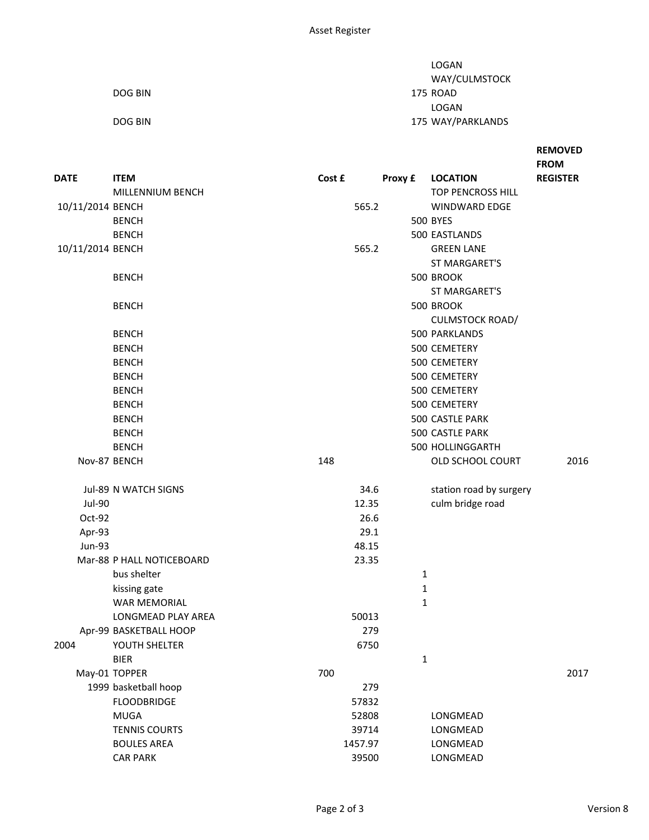|         | LOGAN             |
|---------|-------------------|
|         | WAY/CULMSTOCK     |
| DOG BIN | 175 ROAD          |
|         | LOGAN             |
| DOG BIN | 175 WAY/PARKLANDS |

## **REMOVED FROM**

| <b>DATE</b>      | <b>ITEM</b>               | Cost £ |         | Proxy £ | <b>LOCATION</b>                    | <b>REGISTER</b> |
|------------------|---------------------------|--------|---------|---------|------------------------------------|-----------------|
|                  | MILLENNIUM BENCH          |        | 565.2   |         | TOP PENCROSS HILL<br>WINDWARD EDGE |                 |
| 10/11/2014 BENCH | <b>BENCH</b>              |        |         |         | <b>500 BYES</b>                    |                 |
|                  | <b>BENCH</b>              |        |         |         | 500 EASTLANDS                      |                 |
| 10/11/2014 BENCH |                           |        | 565.2   |         | <b>GREEN LANE</b>                  |                 |
|                  |                           |        |         |         | ST MARGARET'S                      |                 |
|                  | <b>BENCH</b>              |        |         |         | 500 BROOK                          |                 |
|                  |                           |        |         |         | ST MARGARET'S                      |                 |
|                  | <b>BENCH</b>              |        |         |         | 500 BROOK                          |                 |
|                  |                           |        |         |         | <b>CULMSTOCK ROAD/</b>             |                 |
|                  | <b>BENCH</b>              |        |         |         | 500 PARKLANDS                      |                 |
|                  | <b>BENCH</b>              |        |         |         | 500 CEMETERY                       |                 |
|                  | <b>BENCH</b>              |        |         |         | 500 CEMETERY                       |                 |
|                  | <b>BENCH</b>              |        |         |         | 500 CEMETERY                       |                 |
|                  | <b>BENCH</b>              |        |         |         | 500 CEMETERY                       |                 |
|                  | <b>BENCH</b>              |        |         |         | 500 CEMETERY                       |                 |
|                  | <b>BENCH</b>              |        |         |         | 500 CASTLE PARK                    |                 |
|                  | <b>BENCH</b>              |        |         |         | 500 CASTLE PARK                    |                 |
|                  | <b>BENCH</b>              |        |         |         | 500 HOLLINGGARTH                   |                 |
| Nov-87 BENCH     |                           | 148    |         |         | OLD SCHOOL COURT                   | 2016            |
|                  | Jul-89 N WATCH SIGNS      |        | 34.6    |         | station road by surgery            |                 |
| <b>Jul-90</b>    |                           |        | 12.35   |         | culm bridge road                   |                 |
| Oct-92           |                           |        | 26.6    |         |                                    |                 |
| Apr-93           |                           |        | 29.1    |         |                                    |                 |
| Jun-93           |                           |        | 48.15   |         |                                    |                 |
|                  | Mar-88 P HALL NOTICEBOARD |        | 23.35   |         |                                    |                 |
|                  | bus shelter               |        |         |         | 1                                  |                 |
|                  | kissing gate              |        |         |         | 1                                  |                 |
|                  | <b>WAR MEMORIAL</b>       |        |         |         | 1                                  |                 |
|                  | LONGMEAD PLAY AREA        |        | 50013   |         |                                    |                 |
|                  | Apr-99 BASKETBALL HOOP    |        | 279     |         |                                    |                 |
| 2004             | YOUTH SHELTER             |        | 6750    |         |                                    |                 |
|                  | <b>BIER</b>               |        |         |         | $\mathbf{1}$                       |                 |
|                  | May-01 TOPPER             | 700    |         |         |                                    | 2017            |
|                  | 1999 basketball hoop      |        | 279     |         |                                    |                 |
|                  | <b>FLOODBRIDGE</b>        |        | 57832   |         |                                    |                 |
|                  | <b>MUGA</b>               |        | 52808   |         | LONGMEAD                           |                 |
|                  | <b>TENNIS COURTS</b>      |        | 39714   |         | LONGMEAD                           |                 |
|                  | <b>BOULES AREA</b>        |        | 1457.97 |         | LONGMEAD                           |                 |

CAR PARK 29500 LONGMEAD